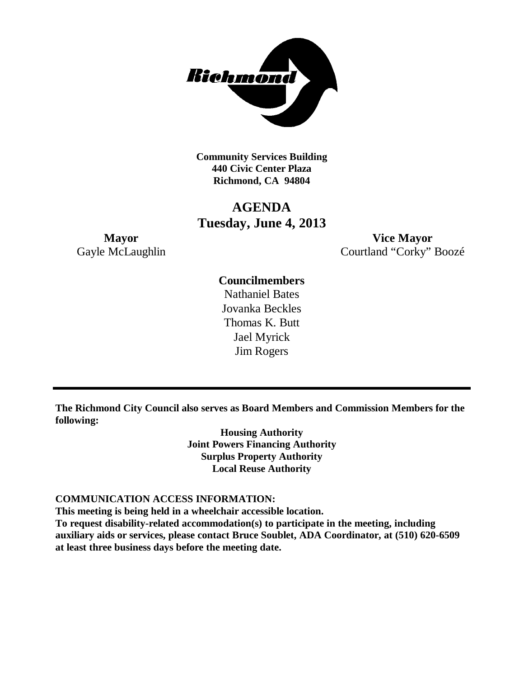

**Community Services Building 440 Civic Center Plaza Richmond, CA 94804**

# **AGENDA Tuesday, June 4, 2013**

**Mayor Vice Mayor** Gayle McLaughlin Courtland "Corky" Boozé

## **Councilmembers**

Nathaniel Bates Jovanka Beckles Thomas K. Butt Jael Myrick Jim Rogers

**The Richmond City Council also serves as Board Members and Commission Members for the following:**

> **Housing Authority Joint Powers Financing Authority Surplus Property Authority Local Reuse Authority**

#### **COMMUNICATION ACCESS INFORMATION:**

**This meeting is being held in a wheelchair accessible location.**

**To request disability-related accommodation(s) to participate in the meeting, including auxiliary aids or services, please contact Bruce Soublet, ADA Coordinator, at (510) 620-6509 at least three business days before the meeting date.**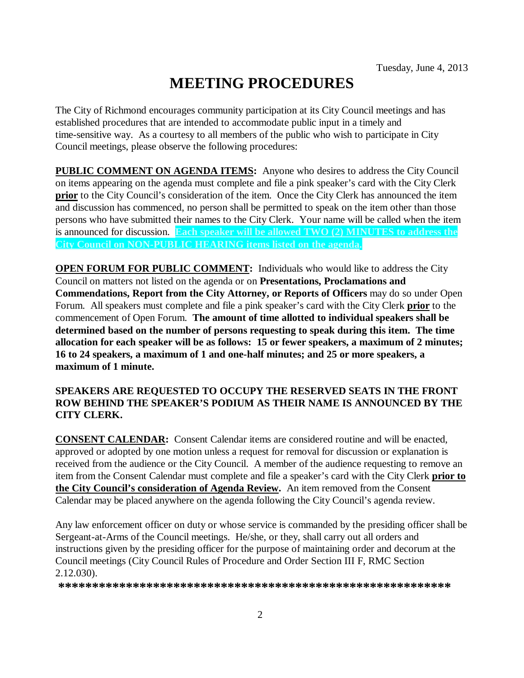# **MEETING PROCEDURES**

The City of Richmond encourages community participation at its City Council meetings and has established procedures that are intended to accommodate public input in a timely and time-sensitive way. As a courtesy to all members of the public who wish to participate in City Council meetings, please observe the following procedures:

**PUBLIC COMMENT ON AGENDA ITEMS:** Anyone who desires to address the City Council on items appearing on the agenda must complete and file a pink speaker's card with the City Clerk **prior** to the City Council's consideration of the item. Once the City Clerk has announced the item and discussion has commenced, no person shall be permitted to speak on the item other than those persons who have submitted their names to the City Clerk. Your name will be called when the item is announced for discussion. **Each speaker will be allowed TWO (2) MINUTES to address the City Council on NON-PUBLIC HEARING items listed on the agenda.**

**OPEN FORUM FOR PUBLIC COMMENT:** Individuals who would like to address the City Council on matters not listed on the agenda or on **Presentations, Proclamations and Commendations, Report from the City Attorney, or Reports of Officers** may do so under Open Forum. All speakers must complete and file a pink speaker's card with the City Clerk **prior** to the commencement of Open Forum. **The amount of time allotted to individual speakers shall be determined based on the number of persons requesting to speak during this item. The time allocation for each speaker will be as follows: 15 or fewer speakers, a maximum of 2 minutes; 16 to 24 speakers, a maximum of 1 and one-half minutes; and 25 or more speakers, a maximum of 1 minute.**

### **SPEAKERS ARE REQUESTED TO OCCUPY THE RESERVED SEATS IN THE FRONT ROW BEHIND THE SPEAKER'S PODIUM AS THEIR NAME IS ANNOUNCED BY THE CITY CLERK.**

**CONSENT CALENDAR:** Consent Calendar items are considered routine and will be enacted, approved or adopted by one motion unless a request for removal for discussion or explanation is received from the audience or the City Council. A member of the audience requesting to remove an item from the Consent Calendar must complete and file a speaker's card with the City Clerk **prior to the City Council's consideration of Agenda Review.** An item removed from the Consent Calendar may be placed anywhere on the agenda following the City Council's agenda review.

Any law enforcement officer on duty or whose service is commanded by the presiding officer shall be Sergeant-at-Arms of the Council meetings. He/she, or they, shall carry out all orders and instructions given by the presiding officer for the purpose of maintaining order and decorum at the Council meetings (City Council Rules of Procedure and Order Section III F, RMC Section 2.12.030).

**\*\*\*\*\*\*\*\*\*\*\*\*\*\*\*\*\*\*\*\*\*\*\*\*\*\*\*\*\*\*\*\*\*\*\*\*\*\*\*\*\*\*\*\*\*\*\*\*\*\*\*\*\*\*\*\*\*\***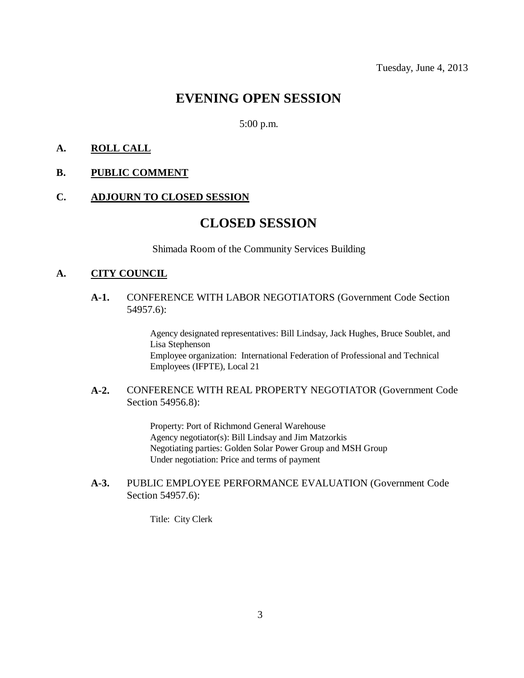# **EVENING OPEN SESSION**

#### 5:00 p.m.

### **A. ROLL CALL**

**B. PUBLIC COMMENT**

#### **C. ADJOURN TO CLOSED SESSION**

## **CLOSED SESSION**

Shimada Room of the Community Services Building

#### **A. CITY COUNCIL**

**A-1.** CONFERENCE WITH LABOR NEGOTIATORS (Government Code Section 54957.6):

> Agency designated representatives: Bill Lindsay, Jack Hughes, Bruce Soublet, and Lisa Stephenson Employee organization: International Federation of Professional and Technical Employees (IFPTE), Local 21

#### **A-2.** CONFERENCE WITH REAL PROPERTY NEGOTIATOR (Government Code Section 54956.8):

Property: Port of Richmond General Warehouse Agency negotiator(s): Bill Lindsay and Jim Matzorkis Negotiating parties: Golden Solar Power Group and MSH Group Under negotiation: Price and terms of payment

### **A-3.** PUBLIC EMPLOYEE PERFORMANCE EVALUATION (Government Code Section 54957.6):

Title: City Clerk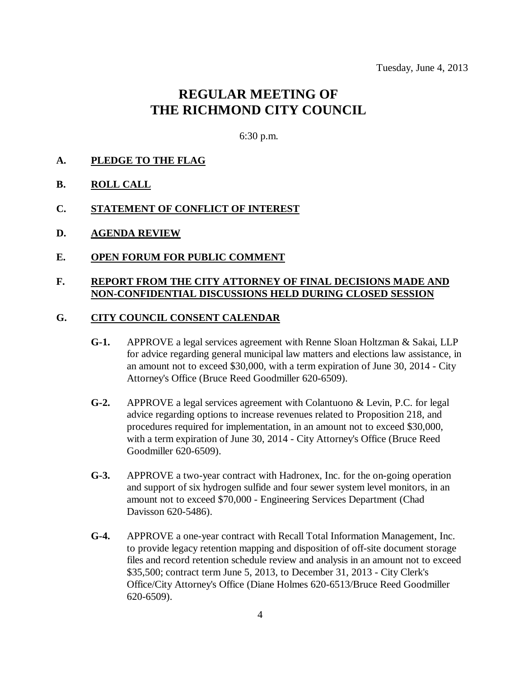# **REGULAR MEETING OF THE RICHMOND CITY COUNCIL**

6:30 p.m.

- **A. PLEDGE TO THE FLAG**
- **B. ROLL CALL**
- **C. STATEMENT OF CONFLICT OF INTEREST**
- **D. AGENDA REVIEW**
- **E. OPEN FORUM FOR PUBLIC COMMENT**

#### **F. REPORT FROM THE CITY ATTORNEY OF FINAL DECISIONS MADE AND NON-CONFIDENTIAL DISCUSSIONS HELD DURING CLOSED SESSION**

#### **G. CITY COUNCIL CONSENT CALENDAR**

- **G-1.** APPROVE a legal services agreement with Renne Sloan Holtzman & Sakai, LLP for advice regarding general municipal law matters and elections law assistance, in an amount not to exceed \$30,000, with a term expiration of June 30, 2014 - City Attorney's Office (Bruce Reed Goodmiller 620-6509).
- **G-2.** APPROVE a legal services agreement with Colantuono & Levin, P.C. for legal advice regarding options to increase revenues related to Proposition 218, and procedures required for implementation, in an amount not to exceed \$30,000, with a term expiration of June 30, 2014 - City Attorney's Office (Bruce Reed Goodmiller 620-6509).
- **G-3.** APPROVE a two-year contract with Hadronex, Inc. for the on-going operation and support of six hydrogen sulfide and four sewer system level monitors, in an amount not to exceed \$70,000 - Engineering Services Department (Chad Davisson 620-5486).
- **G-4.** APPROVE a one-year contract with Recall Total Information Management, Inc. to provide legacy retention mapping and disposition of off-site document storage files and record retention schedule review and analysis in an amount not to exceed \$35,500; contract term June 5, 2013, to December 31, 2013 - City Clerk's Office/City Attorney's Office (Diane Holmes 620-6513/Bruce Reed Goodmiller 620-6509).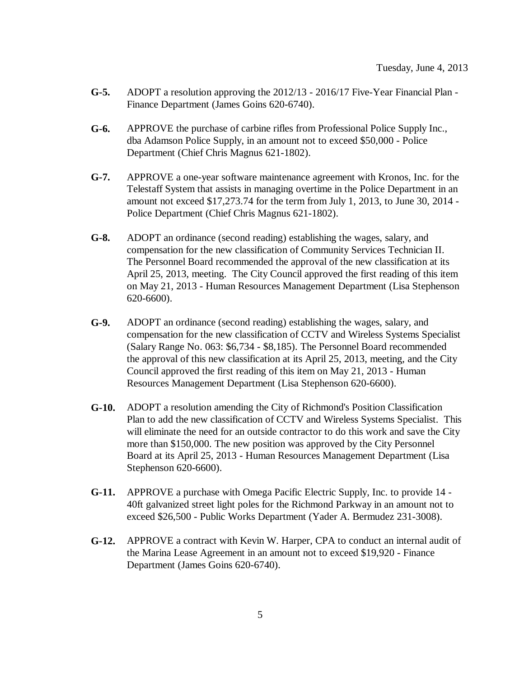- **G-5.** ADOPT a resolution approving the 2012/13 2016/17 Five-Year Financial Plan Finance Department (James Goins 620-6740).
- **G-6.** APPROVE the purchase of carbine rifles from Professional Police Supply Inc., dba Adamson Police Supply, in an amount not to exceed \$50,000 - Police Department (Chief Chris Magnus 621-1802).
- **G-7.** APPROVE a one-year software maintenance agreement with Kronos, Inc. for the Telestaff System that assists in managing overtime in the Police Department in an amount not exceed \$17,273.74 for the term from July 1, 2013, to June 30, 2014 - Police Department (Chief Chris Magnus 621-1802).
- **G-8.** ADOPT an ordinance (second reading) establishing the wages, salary, and compensation for the new classification of Community Services Technician II. The Personnel Board recommended the approval of the new classification at its April 25, 2013, meeting. The City Council approved the first reading of this item on May 21, 2013 - Human Resources Management Department (Lisa Stephenson 620-6600).
- **G-9.** ADOPT an ordinance (second reading) establishing the wages, salary, and compensation for the new classification of CCTV and Wireless Systems Specialist (Salary Range No. 063: \$6,734 - \$8,185). The Personnel Board recommended the approval of this new classification at its April 25, 2013, meeting, and the City Council approved the first reading of this item on May 21, 2013 - Human Resources Management Department (Lisa Stephenson 620-6600).
- **G-10.** ADOPT a resolution amending the City of Richmond's Position Classification Plan to add the new classification of CCTV and Wireless Systems Specialist. This will eliminate the need for an outside contractor to do this work and save the City more than \$150,000. The new position was approved by the City Personnel Board at its April 25, 2013 - Human Resources Management Department (Lisa Stephenson 620-6600).
- **G-11.** APPROVE a purchase with Omega Pacific Electric Supply, Inc. to provide 14 40ft galvanized street light poles for the Richmond Parkway in an amount not to exceed \$26,500 - Public Works Department (Yader A. Bermudez 231-3008).
- **G-12.** APPROVE a contract with Kevin W. Harper, CPA to conduct an internal audit of the Marina Lease Agreement in an amount not to exceed \$19,920 - Finance Department (James Goins 620-6740).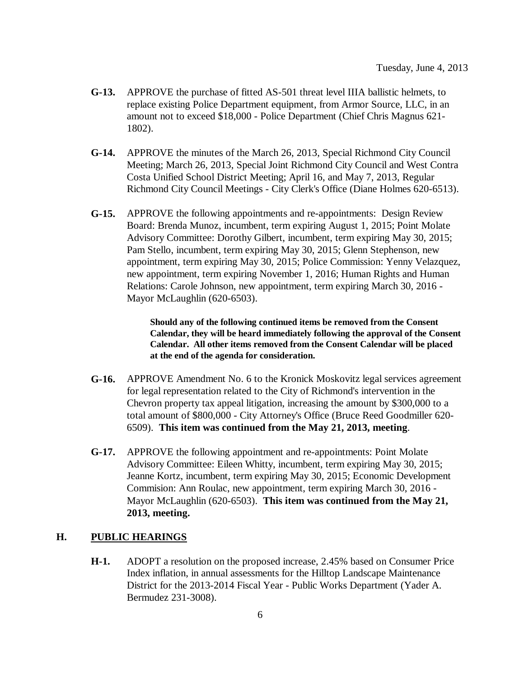- **G-13.** APPROVE the purchase of fitted AS-501 threat level IIIA ballistic helmets, to replace existing Police Department equipment, from Armor Source, LLC, in an amount not to exceed \$18,000 - Police Department (Chief Chris Magnus 621- 1802).
- **G-14.** APPROVE the minutes of the March 26, 2013, Special Richmond City Council Meeting; March 26, 2013, Special Joint Richmond City Council and West Contra Costa Unified School District Meeting; April 16, and May 7, 2013, Regular Richmond City Council Meetings - City Clerk's Office (Diane Holmes 620-6513).
- **G-15.** APPROVE the following appointments and re-appointments: Design Review Board: Brenda Munoz, incumbent, term expiring August 1, 2015; Point Molate Advisory Committee: Dorothy Gilbert, incumbent, term expiring May 30, 2015; Pam Stello, incumbent, term expiring May 30, 2015; Glenn Stephenson, new appointment, term expiring May 30, 2015; Police Commission: Yenny Velazquez, new appointment, term expiring November 1, 2016; Human Rights and Human Relations: Carole Johnson, new appointment, term expiring March 30, 2016 - Mayor McLaughlin (620-6503).

**Should any of the following continued items be removed from the Consent Calendar, they will be heard immediately following the approval of the Consent Calendar. All other items removed from the Consent Calendar will be placed at the end of the agenda for consideration.**

- **G-16.** APPROVE Amendment No. 6 to the Kronick Moskovitz legal services agreement for legal representation related to the City of Richmond's intervention in the Chevron property tax appeal litigation, increasing the amount by \$300,000 to a total amount of \$800,000 - City Attorney's Office (Bruce Reed Goodmiller 620- 6509). **This item was continued from the May 21, 2013, meeting**.
- **G-17.** APPROVE the following appointment and re-appointments: Point Molate Advisory Committee: Eileen Whitty, incumbent, term expiring May 30, 2015; Jeanne Kortz, incumbent, term expiring May 30, 2015; Economic Development Commision: Ann Roulac, new appointment, term expiring March 30, 2016 - Mayor McLaughlin (620-6503). **This item was continued from the May 21, 2013, meeting.**

#### **H. PUBLIC HEARINGS**

**H-1.** ADOPT a resolution on the proposed increase, 2.45% based on Consumer Price Index inflation, in annual assessments for the Hilltop Landscape Maintenance District for the 2013-2014 Fiscal Year - Public Works Department (Yader A. Bermudez 231-3008).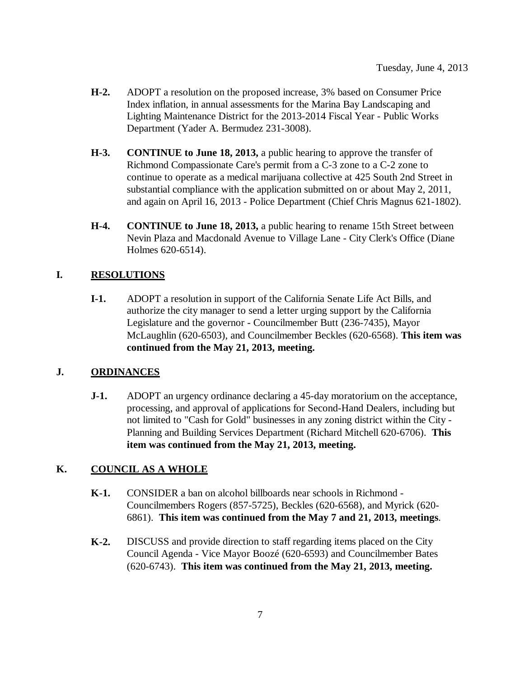- **H-2.** ADOPT a resolution on the proposed increase, 3% based on Consumer Price Index inflation, in annual assessments for the Marina Bay Landscaping and Lighting Maintenance District for the 2013-2014 Fiscal Year - Public Works Department (Yader A. Bermudez 231-3008).
- **H-3. CONTINUE to June 18, 2013,** a public hearing to approve the transfer of Richmond Compassionate Care's permit from a C-3 zone to a C-2 zone to continue to operate as a medical marijuana collective at 425 South 2nd Street in substantial compliance with the application submitted on or about May 2, 2011, and again on April 16, 2013 - Police Department (Chief Chris Magnus 621-1802).
- **H-4. CONTINUE to June 18, 2013,** a public hearing to rename 15th Street between Nevin Plaza and Macdonald Avenue to Village Lane - City Clerk's Office (Diane Holmes 620-6514).

### **I. RESOLUTIONS**

**I-1.** ADOPT a resolution in support of the California Senate Life Act Bills, and authorize the city manager to send a letter urging support by the California Legislature and the governor - Councilmember Butt (236-7435), Mayor McLaughlin (620-6503), and Councilmember Beckles (620-6568). **This item was continued from the May 21, 2013, meeting.**

### **J. ORDINANCES**

**J-1.** ADOPT an urgency ordinance declaring a 45-day moratorium on the acceptance, processing, and approval of applications for Second-Hand Dealers, including but not limited to "Cash for Gold" businesses in any zoning district within the City - Planning and Building Services Department (Richard Mitchell 620-6706). **This item was continued from the May 21, 2013, meeting.**

### **K. COUNCIL AS A WHOLE**

- **K-1.** CONSIDER a ban on alcohol billboards near schools in Richmond Councilmembers Rogers (857-5725), Beckles (620-6568), and Myrick (620- 6861). **This item was continued from the May 7 and 21, 2013, meetings**.
- **K-2.** DISCUSS and provide direction to staff regarding items placed on the City Council Agenda - Vice Mayor Boozé (620-6593) and Councilmember Bates (620-6743). **This item was continued from the May 21, 2013, meeting.**